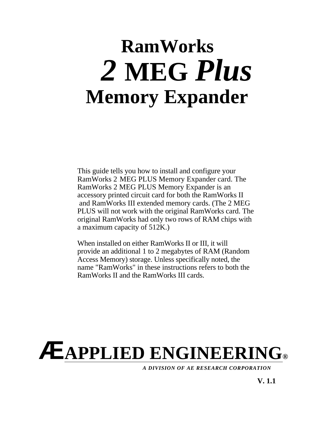## **RamWorks** *2* **MEG** *Plus* **Memory Expander**

This guide tells you how to install and configure your RamWorks 2 MEG PLUS Memory Expander card. The RamWorks 2 MEG PLUS Memory Expander is an accessory printed circuit card for both the RamWorks II and RamWorks III extended memory cards. (The 2 MEG PLUS will not work with the original RamWorks card. The original RamWorks had only two rows of RAM chips with a maximum capacity of 512K.)

When installed on either RamWorks II or III, it will provide an additional 1 to 2 megabytes of RAM (Random Access Memory) storage. Unless specifically noted, the name "RamWorks" in these instructions refers to both the RamWorks II and the RamWorks III cards.

# **ÆAPPLIED ENGINEERING®**

*A DIVISION OF AE RESEARCH CORPORATION*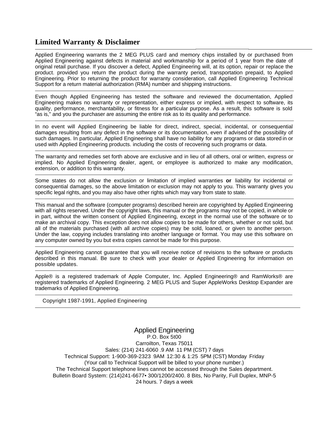## **Limited Warranty & Disclaimer**

Applied Engineering warrants the 2 MEG PLUS card and memory chips installed by or purchased from Applied Engineering against defects in material and workmanship for a period of 1 year from the date of original retail purchase. If you discover a defect, Applied Engineering will, at its option, repair or replace the product. provided you return the product during the warranty period, transportation prepaid, to Applied Engineering. Prior to returning the product for warranty consideration, call Applied Engineering Technical Support for a return material authorization (RMA) number and shipping instructions. 

Even though Applied Engineering has tested the software and reviewed the documentation, Applied Engineering makes no warranty or representation, either express or implied, with respect to software, its quality, performance, merchantability, or fitness for a particular purpose. As a result, this software is sold "as is," and you the purchaser are assuming the entire risk as to its quality and performance.

In no event will Applied Engineering be liable for direct, indirect, special, incidental, or consequential damages resulting from any defect in the software or its documentation, even if advisedof the possibility of such damages. In particular, Applied Engineering shall have no liability for any programs or data storedin or used with Applied Engineering products. including the costs of recovering such programs or data. 

The warranty and remedies set forth above are exclusive and in lieu of all others, oral or written, express or implied. No Applied Engineering dealer, agent, or employee is authorized to make any modification, extension, or addition to this warranty.

Some states do not allow the exclusion or limitation of implied warranties **or** liability for incidental or consequential damages, so the above limitation or exclusion may not apply to you. This warranty gives you specific legal rights, and you may also have other rights which may vary from state to state.

This manual and the software (computer programs) described herein are copyrighted by Applied Engineering with all rights reserved. Under the copyright laws, this manual or the programs may not be copied, in whole or in part, without the written consent of Applied Engineering, except in the normal use of the software or to make an archival copy. This exception does not allow copies to be made for others, whether or not sold, but all of the materials purchased (with all archive copies) may be sold, loaned, or given to another person. Under the law, copying includes translating into another language or format. You may use this software on any computer owned by you but extra copies cannot be made for this purpose. 

Applied Engineering cannot guarantee that you will receive notice of revisions to the software or products described in this manual. Be sure to check with your dealer or Applied Engineering for information on possible updates.

Apple® is a registered trademark of Apple Computer, Inc. Applied Engineering® and RamWorks® are registered trademarks of Applied Engineering. 2 MEG PLUS and Super AppleWorks Desktop Expander are trademarks of Applied Engineering. 

Copyright 1987-1991, Applied Engineering

Applied Engineering P.O. Box 5t00 Carroilton, Texas 75011 Sales: (214) 241-6060 .9 AM .11 PM (CST) 7 days Technical Support: 1-900-369-2323 . 9AM - 12:30 & 1:25 - 5PM (CST) Monday - Friday (Your call to Technical Support will be billed to your phone number.) The Technical Support telephone lines cannot be accessed through the Sales department. Bulletin Board System: (214)241-6677• 300/1200/2400. 8 Bits, No Parity, Full Duplex, MNP-5 24 hours. 7 days a week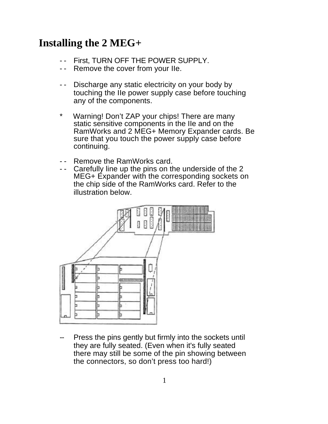## **Installing the 2 MEG+**

- -- First, TURN OFF THE POWER SUPPLY.
- Remove the cover from your IIe.
- -- Discharge any static electricity on your body by touching the IIe power supply case before touching any of the components.
- Warning! Don't ZAP your chips! There are many static sensitive components in the IIe and on the RamWorks and 2 MEG+ Memory Expander cards. Be sure that you touch the power supply case before continuing.
- Remove the RamWorks card.
- -- Carefully line up the pins on the underside of the 2 MEG+ Expander with the corresponding sockets on the chip side of the RamWorks card. Refer to the illustration below.



Press the pins gently but firmly into the sockets until they are fully seated. (Even when it's fully seated there may still be some of the pin showing between the connectors, so don't press too hard!)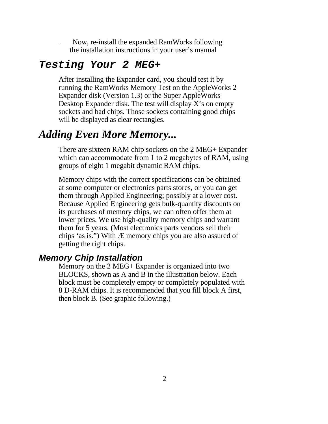Now, re-install the expanded RamWorks following the installation instructions in your user's manual

#### *Testing Your 2 MEG+*

After installing the Expander card, you should test it by running the RamWorks Memory Test on the AppleWorks 2 Expander disk (Version 1.3) or the Super AppleWorks Desktop Expander disk. The test will display X's on empty sockets and bad chips. Those sockets containing good chips will be displayed as clear rectangles.

### *Adding Even More Memory...*

There are sixteen RAM chip sockets on the 2 MEG+ Expander which can accommodate from 1 to 2 megabytes of RAM, using groups of eight 1 megabit dynamic RAM chips.

Memory chips with the correct specifications can be obtained at some computer or electronics parts stores, or you can get them through Applied Engineering; possibly at a lower cost. Because Applied Engineering gets bulk-quantity discounts on its purchases of memory chips, we can often offer them at lower prices. We use high-quality memory chips and warrant them for 5 years. (Most electronics parts vendors sell their chips 'as is.") With Æ memory chips you are also assured of getting the right chips.

#### *Memory Chip Installation*

Memory on the 2 MEG+ Expander is organized into two BLOCKS, shown as A and B in the illustration below. Each block must be completely empty or completely populated with 8 D-RAM chips. It is recommended that you fill block A first, then block B. (See graphic following.)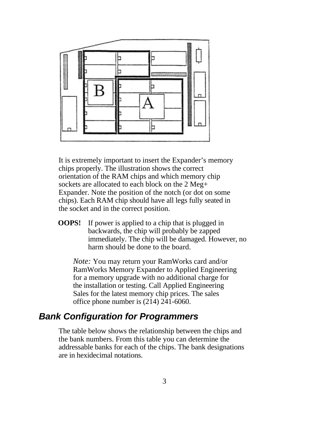

It is extremely important to insert the Expander's memory chips properly. The illustration shows the correct orientation of the RAM chips and which memory chip sockets are allocated to each block on the 2 Meg+ Expander. Note the position of the notch (or dot on some chips). Each RAM chip should have all legs fully seated in the socket and in the correct position.

**OOPS!** If power is applied to a chip that is plugged in backwards, the chip will probably be zapped immediately. The chip will be damaged. However, no harm should be done to the board.

*Note:* You may return your RamWorks card and/or RamWorks Memory Expander to Applied Engineering for a memory upgrade with no additional charge for the installation or testing. Call Applied Engineering Sales for the latest memory chip prices. The sales office phone number is (214) 241-6060.

#### *Bank Configuration for Programmers*

The table below shows the relationship between the chips and the bank numbers. From this table you can determine the addressable banks for each of the chips. The bank designations are in hexidecimal notations.